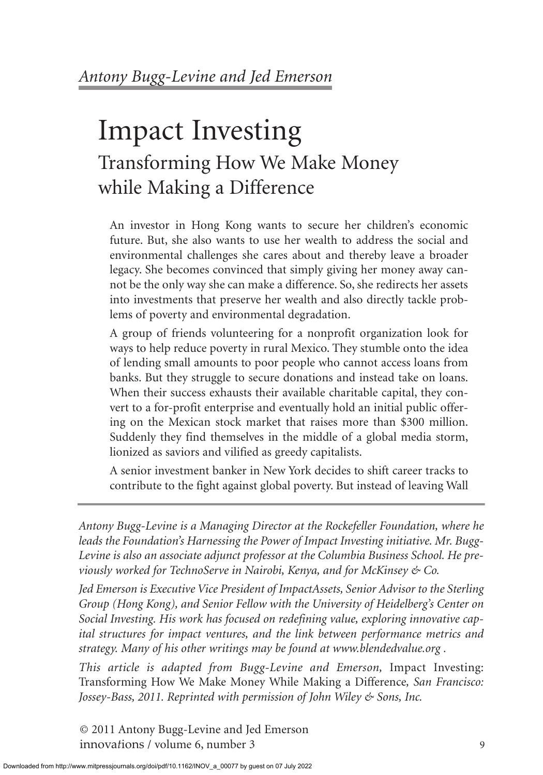# Impact Investing Transforming How We Make Money while Making a Difference

An investor in Hong Kong wants to secure her children's economic future. But, she also wants to use her wealth to address the social and environmental challenges she cares about and thereby leave a broader legacy. She becomes convinced that simply giving her money away cannot be the only way she can make a difference. So, she redirects her assets into investments that preserve her wealth and also directly tackle problems of poverty and environmental degradation.

A group of friends volunteering for a nonprofit organization look for ways to help reduce poverty in rural Mexico. They stumble onto the idea of lending small amounts to poor people who cannot access loans from banks. But they struggle to secure donations and instead take on loans. When their success exhausts their available charitable capital, they convert to a for-profit enterprise and eventually hold an initial public offering on the Mexican stock market that raises more than \$300 million. Suddenly they find themselves in the middle of a global media storm, lionized as saviors and vilified as greedy capitalists.

A senior investment banker in New York decides to shift career tracks to contribute to the fight against global poverty. But instead of leaving Wall

*Antony Bugg-Levine is a Managing Director at the Rockefeller Foundation, where he leads the Foundation's Harnessing the Power of Impact Investing initiative. Mr. Bugg-Levine is also an associate adjunct professor at the Columbia Business School. He previously worked for TechnoServe in Nairobi, Kenya, and for McKinsey & Co.*

*Jed Emerson is Executive Vice President of ImpactAssets, Senior Advisor to the Sterling Group (Hong Kong), and Senior Fellow with the University of Heidelberg's Center on Social Investing. His work has focused on redefining value, exploring innovative capital structures for impact ventures, and the link between performance metrics and strategy. Many of his other writings may be found at www.blendedvalue.org .*

*This article is adapted from Bugg-Levine and Emerson,* Impact Investing: Transforming How We Make Money While Making a Difference*, San Francisco: Jossey-Bass, 2011. Reprinted with permission of John Wiley & Sons, Inc.*

© 2011 Antony Bugg-Levine and Jed Emerson innova*t*ions / volume 6, number 3 <sup>9</sup>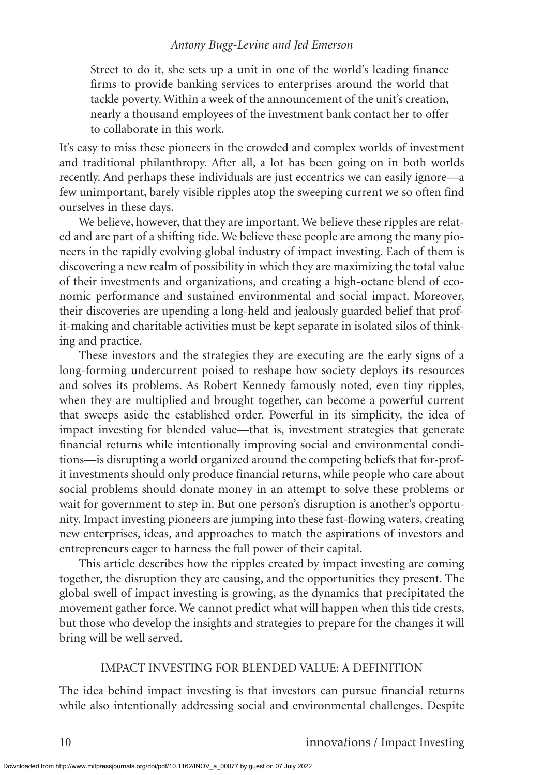Street to do it, she sets up a unit in one of the world's leading finance firms to provide banking services to enterprises around the world that tackle poverty. Within a week of the announcement of the unit's creation, nearly a thousand employees of the investment bank contact her to offer to collaborate in this work.

It's easy to miss these pioneers in the crowded and complex worlds of investment and traditional philanthropy. After all, a lot has been going on in both worlds recently. And perhaps these individuals are just eccentrics we can easily ignore—a few unimportant, barely visible ripples atop the sweeping current we so often find ourselves in these days.

We believe, however, that they are important. We believe these ripples are related and are part of a shifting tide. We believe these people are among the many pioneers in the rapidly evolving global industry of impact investing. Each of them is discovering a new realm of possibility in which they are maximizing the total value of their investments and organizations, and creating a high-octane blend of economic performance and sustained environmental and social impact. Moreover, their discoveries are upending a long-held and jealously guarded belief that profit-making and charitable activities must be kept separate in isolated silos of thinking and practice.

These investors and the strategies they are executing are the early signs of a long-forming undercurrent poised to reshape how society deploys its resources and solves its problems. As Robert Kennedy famously noted, even tiny ripples, when they are multiplied and brought together, can become a powerful current that sweeps aside the established order. Powerful in its simplicity, the idea of impact investing for blended value—that is, investment strategies that generate financial returns while intentionally improving social and environmental conditions—is disrupting a world organized around the competing beliefs that for-profit investments should only produce financial returns, while people who care about social problems should donate money in an attempt to solve these problems or wait for government to step in. But one person's disruption is another's opportunity. Impact investing pioneers are jumping into these fast-flowing waters, creating new enterprises, ideas, and approaches to match the aspirations of investors and entrepreneurs eager to harness the full power of their capital.

This article describes how the ripples created by impact investing are coming together, the disruption they are causing, and the opportunities they present. The global swell of impact investing is growing, as the dynamics that precipitated the movement gather force. We cannot predict what will happen when this tide crests, but those who develop the insights and strategies to prepare for the changes it will bring will be well served.

#### IMPACT INVESTING FOR BLENDED VALUE: A DEFINITION

The idea behind impact investing is that investors can pursue financial returns while also intentionally addressing social and environmental challenges. Despite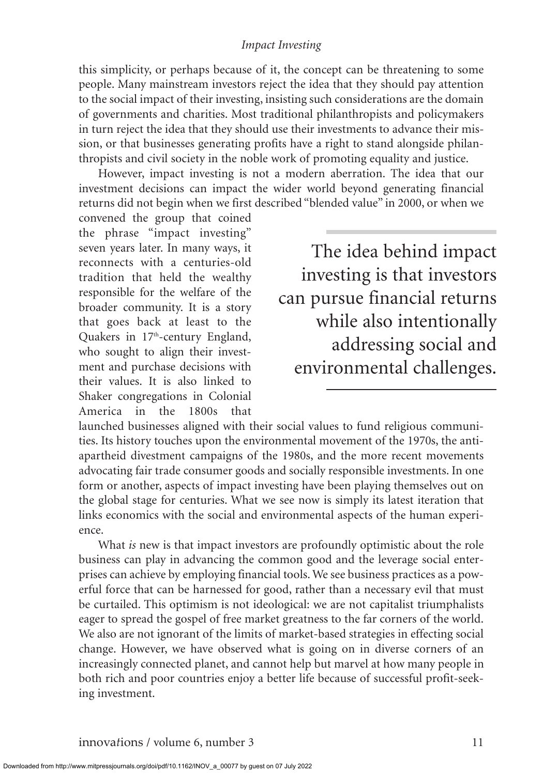## *Impact Investing*

this simplicity, or perhaps because of it, the concept can be threatening to some people. Many mainstream investors reject the idea that they should pay attention to the social impact of their investing, insisting such considerations are the domain of governments and charities. Most traditional philanthropists and policymakers in turn reject the idea that they should use their investments to advance their mission, or that businesses generating profits have a right to stand alongside philanthropists and civil society in the noble work of promoting equality and justice.

However, impact investing is not a modern aberration. The idea that our investment decisions can impact the wider world beyond generating financial returns did not begin when we first described "blended value" in 2000, or when we

convened the group that coined the phrase "impact investing" seven years later. In many ways, it reconnects with a centuries-old tradition that held the wealthy responsible for the welfare of the broader community. It is a story that goes back at least to the Quakers in 17<sup>th</sup>-century England, who sought to align their investment and purchase decisions with their values. It is also linked to Shaker congregations in Colonial America in the 1800s that

The idea behind impact investing is that investors can pursue financial returns while also intentionally addressing social and environmental challenges.

launched businesses aligned with their social values to fund religious communities. Its history touches upon the environmental movement of the 1970s, the antiapartheid divestment campaigns of the 1980s, and the more recent movements advocating fair trade consumer goods and socially responsible investments. In one form or another, aspects of impact investing have been playing themselves out on the global stage for centuries. What we see now is simply its latest iteration that links economics with the social and environmental aspects of the human experience.

What *is* new is that impact investors are profoundly optimistic about the role business can play in advancing the common good and the leverage social enterprises can achieve by employing financial tools. We see business practices as a powerful force that can be harnessed for good, rather than a necessary evil that must be curtailed. This optimism is not ideological: we are not capitalist triumphalists eager to spread the gospel of free market greatness to the far corners of the world. We also are not ignorant of the limits of market-based strategies in effecting social change. However, we have observed what is going on in diverse corners of an increasingly connected planet, and cannot help but marvel at how many people in both rich and poor countries enjoy a better life because of successful profit-seeking investment.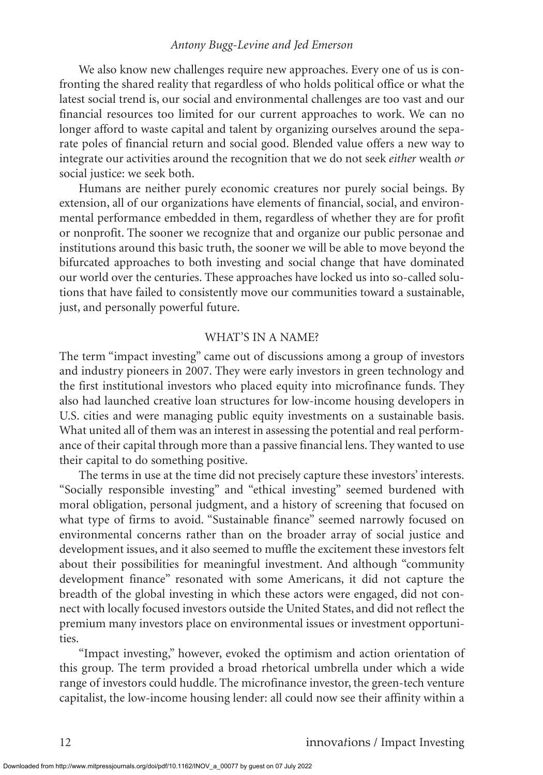We also know new challenges require new approaches. Every one of us is confronting the shared reality that regardless of who holds political office or what the latest social trend is, our social and environmental challenges are too vast and our financial resources too limited for our current approaches to work. We can no longer afford to waste capital and talent by organizing ourselves around the separate poles of financial return and social good. Blended value offers a new way to integrate our activities around the recognition that we do not seek *either* wealth *or* social justice: we seek both.

Humans are neither purely economic creatures nor purely social beings. By extension, all of our organizations have elements of financial, social, and environmental performance embedded in them, regardless of whether they are for profit or nonprofit. The sooner we recognize that and organize our public personae and institutions around this basic truth, the sooner we will be able to move beyond the bifurcated approaches to both investing and social change that have dominated our world over the centuries. These approaches have locked us into so-called solutions that have failed to consistently move our communities toward a sustainable, just, and personally powerful future.

#### WHAT'S IN A NAME?

The term "impact investing" came out of discussions among a group of investors and industry pioneers in 2007. They were early investors in green technology and the first institutional investors who placed equity into microfinance funds. They also had launched creative loan structures for low-income housing developers in U.S. cities and were managing public equity investments on a sustainable basis. What united all of them was an interest in assessing the potential and real performance of their capital through more than a passive financial lens. They wanted to use their capital to do something positive.

The terms in use at the time did not precisely capture these investors' interests. "Socially responsible investing" and "ethical investing" seemed burdened with moral obligation, personal judgment, and a history of screening that focused on what type of firms to avoid. "Sustainable finance" seemed narrowly focused on environmental concerns rather than on the broader array of social justice and development issues, and it also seemed to muffle the excitement these investors felt about their possibilities for meaningful investment. And although "community development finance" resonated with some Americans, it did not capture the breadth of the global investing in which these actors were engaged, did not connect with locally focused investors outside the United States, and did not reflect the premium many investors place on environmental issues or investment opportunities.

"Impact investing," however, evoked the optimism and action orientation of this group. The term provided a broad rhetorical umbrella under which a wide range of investors could huddle. The microfinance investor, the green-tech venture capitalist, the low-income housing lender: all could now see their affinity within a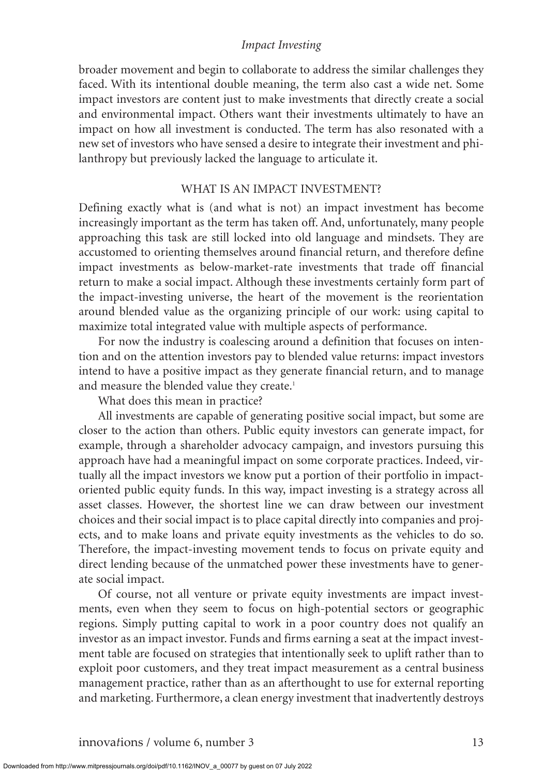### *Impact Investing*

broader movement and begin to collaborate to address the similar challenges they faced. With its intentional double meaning, the term also cast a wide net. Some impact investors are content just to make investments that directly create a social and environmental impact. Others want their investments ultimately to have an impact on how all investment is conducted. The term has also resonated with a new set of investors who have sensed a desire to integrate their investment and philanthropy but previously lacked the language to articulate it.

#### WHAT IS AN IMPACT INVESTMENT?

Defining exactly what is (and what is not) an impact investment has become increasingly important as the term has taken off. And, unfortunately, many people approaching this task are still locked into old language and mindsets. They are accustomed to orienting themselves around financial return, and therefore define impact investments as below-market-rate investments that trade off financial return to make a social impact. Although these investments certainly form part of the impact-investing universe, the heart of the movement is the reorientation around blended value as the organizing principle of our work: using capital to maximize total integrated value with multiple aspects of performance.

For now the industry is coalescing around a definition that focuses on intention and on the attention investors pay to blended value returns: impact investors intend to have a positive impact as they generate financial return, and to manage and measure the blended value they create.<sup>1</sup>

What does this mean in practice?

All investments are capable of generating positive social impact, but some are closer to the action than others. Public equity investors can generate impact, for example, through a shareholder advocacy campaign, and investors pursuing this approach have had a meaningful impact on some corporate practices. Indeed, virtually all the impact investors we know put a portion of their portfolio in impactoriented public equity funds. In this way, impact investing is a strategy across all asset classes. However, the shortest line we can draw between our investment choices and their social impact is to place capital directly into companies and projects, and to make loans and private equity investments as the vehicles to do so. Therefore, the impact-investing movement tends to focus on private equity and direct lending because of the unmatched power these investments have to generate social impact.

Of course, not all venture or private equity investments are impact investments, even when they seem to focus on high-potential sectors or geographic regions. Simply putting capital to work in a poor country does not qualify an investor as an impact investor. Funds and firms earning a seat at the impact investment table are focused on strategies that intentionally seek to uplift rather than to exploit poor customers, and they treat impact measurement as a central business management practice, rather than as an afterthought to use for external reporting and marketing. Furthermore, a clean energy investment that inadvertently destroys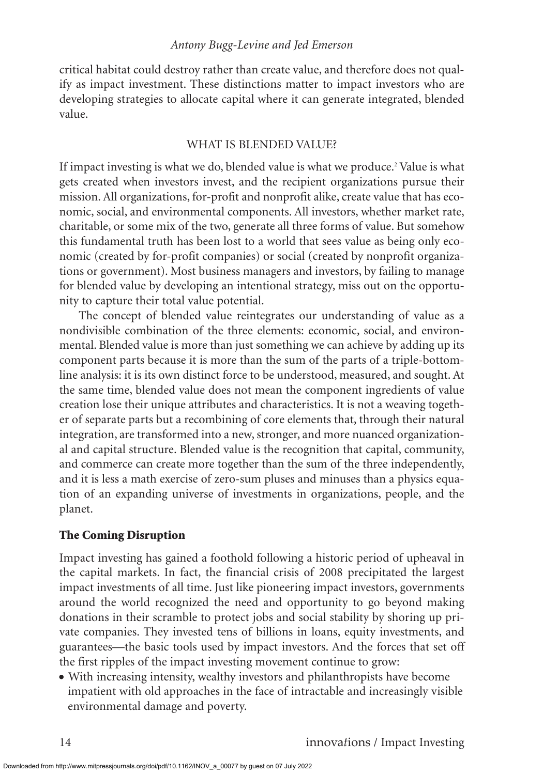critical habitat could destroy rather than create value, and therefore does not qualify as impact investment. These distinctions matter to impact investors who are developing strategies to allocate capital where it can generate integrated, blended value.

#### WHAT IS BLENDED VALUE?

If impact investing is what we do, blended value is what we produce.<sup>2</sup> Value is what gets created when investors invest, and the recipient organizations pursue their mission. All organizations, for-profit and nonprofit alike, create value that has economic, social, and environmental components. All investors, whether market rate, charitable, or some mix of the two, generate all three forms of value. But somehow this fundamental truth has been lost to a world that sees value as being only economic (created by for-profit companies) or social (created by nonprofit organizations or government). Most business managers and investors, by failing to manage for blended value by developing an intentional strategy, miss out on the opportunity to capture their total value potential.

The concept of blended value reintegrates our understanding of value as a nondivisible combination of the three elements: economic, social, and environmental. Blended value is more than just something we can achieve by adding up its component parts because it is more than the sum of the parts of a triple-bottomline analysis: it is its own distinct force to be understood, measured, and sought. At the same time, blended value does not mean the component ingredients of value creation lose their unique attributes and characteristics. It is not a weaving together of separate parts but a recombining of core elements that, through their natural integration, are transformed into a new, stronger, and more nuanced organizational and capital structure. Blended value is the recognition that capital, community, and commerce can create more together than the sum of the three independently, and it is less a math exercise of zero-sum pluses and minuses than a physics equation of an expanding universe of investments in organizations, people, and the planet.

#### **The Coming Disruption**

Impact investing has gained a foothold following a historic period of upheaval in the capital markets. In fact, the financial crisis of 2008 precipitated the largest impact investments of all time. Just like pioneering impact investors, governments around the world recognized the need and opportunity to go beyond making donations in their scramble to protect jobs and social stability by shoring up private companies. They invested tens of billions in loans, equity investments, and guarantees—the basic tools used by impact investors. And the forces that set off the first ripples of the impact investing movement continue to grow:

• With increasing intensity, wealthy investors and philanthropists have become impatient with old approaches in the face of intractable and increasingly visible environmental damage and poverty.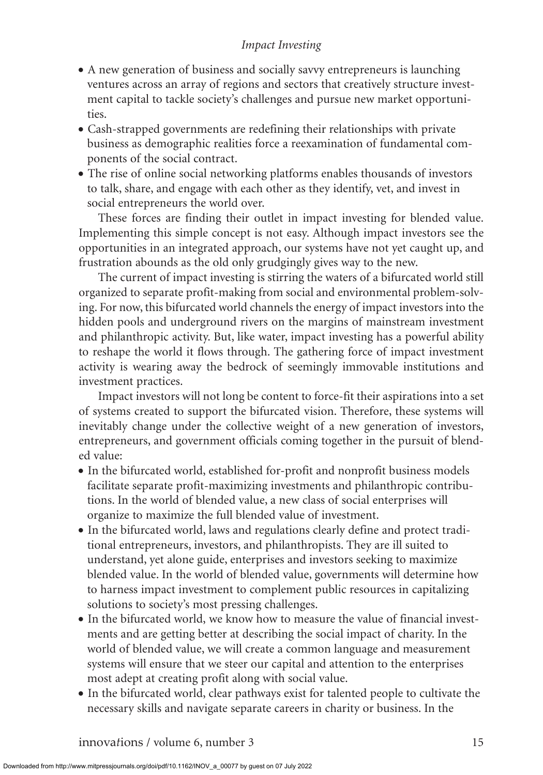# *Impact Investing*

- A new generation of business and socially savvy entrepreneurs is launching ventures across an array of regions and sectors that creatively structure investment capital to tackle society's challenges and pursue new market opportunities.
- Cash-strapped governments are redefining their relationships with private business as demographic realities force a reexamination of fundamental components of the social contract.
- The rise of online social networking platforms enables thousands of investors to talk, share, and engage with each other as they identify, vet, and invest in social entrepreneurs the world over.

These forces are finding their outlet in impact investing for blended value. Implementing this simple concept is not easy. Although impact investors see the opportunities in an integrated approach, our systems have not yet caught up, and frustration abounds as the old only grudgingly gives way to the new.

The current of impact investing is stirring the waters of a bifurcated world still organized to separate profit-making from social and environmental problem-solving. For now, this bifurcated world channels the energy of impact investors into the hidden pools and underground rivers on the margins of mainstream investment and philanthropic activity. But, like water, impact investing has a powerful ability to reshape the world it flows through. The gathering force of impact investment activity is wearing away the bedrock of seemingly immovable institutions and investment practices.

Impact investors will not long be content to force-fit their aspirations into a set of systems created to support the bifurcated vision. Therefore, these systems will inevitably change under the collective weight of a new generation of investors, entrepreneurs, and government officials coming together in the pursuit of blended value:

- In the bifurcated world, established for-profit and nonprofit business models facilitate separate profit-maximizing investments and philanthropic contributions. In the world of blended value, a new class of social enterprises will organize to maximize the full blended value of investment.
- In the bifurcated world, laws and regulations clearly define and protect traditional entrepreneurs, investors, and philanthropists. They are ill suited to understand, yet alone guide, enterprises and investors seeking to maximize blended value. In the world of blended value, governments will determine how to harness impact investment to complement public resources in capitalizing solutions to society's most pressing challenges.
- In the bifurcated world, we know how to measure the value of financial investments and are getting better at describing the social impact of charity. In the world of blended value, we will create a common language and measurement systems will ensure that we steer our capital and attention to the enterprises most adept at creating profit along with social value.
- In the bifurcated world, clear pathways exist for talented people to cultivate the necessary skills and navigate separate careers in charity or business. In the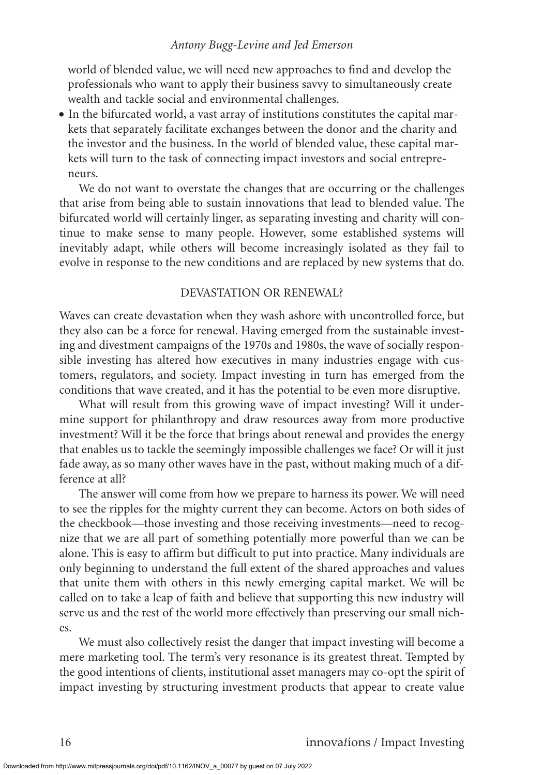world of blended value, we will need new approaches to find and develop the professionals who want to apply their business savvy to simultaneously create wealth and tackle social and environmental challenges.

• In the bifurcated world, a vast array of institutions constitutes the capital markets that separately facilitate exchanges between the donor and the charity and the investor and the business. In the world of blended value, these capital markets will turn to the task of connecting impact investors and social entrepreneurs.

We do not want to overstate the changes that are occurring or the challenges that arise from being able to sustain innovations that lead to blended value. The bifurcated world will certainly linger, as separating investing and charity will continue to make sense to many people. However, some established systems will inevitably adapt, while others will become increasingly isolated as they fail to evolve in response to the new conditions and are replaced by new systems that do.

#### DEVASTATION OR RENEWAL?

Waves can create devastation when they wash ashore with uncontrolled force, but they also can be a force for renewal. Having emerged from the sustainable investing and divestment campaigns of the 1970s and 1980s, the wave of socially responsible investing has altered how executives in many industries engage with customers, regulators, and society. Impact investing in turn has emerged from the conditions that wave created, and it has the potential to be even more disruptive.

What will result from this growing wave of impact investing? Will it undermine support for philanthropy and draw resources away from more productive investment? Will it be the force that brings about renewal and provides the energy that enables us to tackle the seemingly impossible challenges we face? Or will it just fade away, as so many other waves have in the past, without making much of a difference at all?

The answer will come from how we prepare to harness its power. We will need to see the ripples for the mighty current they can become. Actors on both sides of the checkbook—those investing and those receiving investments—need to recognize that we are all part of something potentially more powerful than we can be alone. This is easy to affirm but difficult to put into practice. Many individuals are only beginning to understand the full extent of the shared approaches and values that unite them with others in this newly emerging capital market. We will be called on to take a leap of faith and believe that supporting this new industry will serve us and the rest of the world more effectively than preserving our small niches.

We must also collectively resist the danger that impact investing will become a mere marketing tool. The term's very resonance is its greatest threat. Tempted by the good intentions of clients, institutional asset managers may co-opt the spirit of impact investing by structuring investment products that appear to create value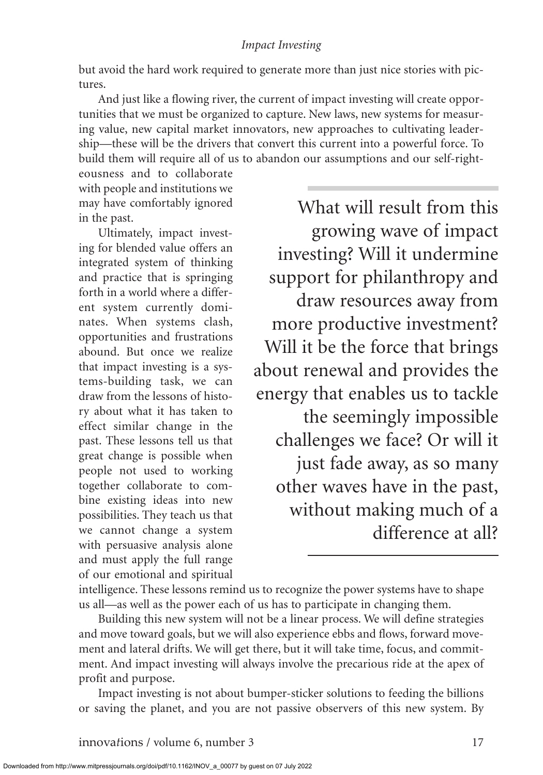but avoid the hard work required to generate more than just nice stories with pictures.

And just like a flowing river, the current of impact investing will create opportunities that we must be organized to capture. New laws, new systems for measuring value, new capital market innovators, new approaches to cultivating leadership—these will be the drivers that convert this current into a powerful force. To build them will require all of us to abandon our assumptions and our self-right-

eousness and to collaborate with people and institutions we may have comfortably ignored in the past.

Ultimately, impact investing for blended value offers an integrated system of thinking and practice that is springing forth in a world where a different system currently dominates. When systems clash, opportunities and frustrations abound. But once we realize that impact investing is a systems-building task, we can draw from the lessons of history about what it has taken to effect similar change in the past. These lessons tell us that great change is possible when people not used to working together collaborate to combine existing ideas into new possibilities. They teach us that we cannot change a system with persuasive analysis alone and must apply the full range of our emotional and spiritual

What will result from this growing wave of impact investing? Will it undermine support for philanthropy and draw resources away from more productive investment? Will it be the force that brings about renewal and provides the energy that enables us to tackle the seemingly impossible challenges we face? Or will it just fade away, as so many other waves have in the past, without making much of a difference at all?

intelligence. These lessons remind us to recognize the power systems have to shape us all—as well as the power each of us has to participate in changing them.

Building this new system will not be a linear process. We will define strategies and move toward goals, but we will also experience ebbs and flows, forward movement and lateral drifts. We will get there, but it will take time, focus, and commitment. And impact investing will always involve the precarious ride at the apex of profit and purpose.

Impact investing is not about bumper-sticker solutions to feeding the billions or saving the planet, and you are not passive observers of this new system. By

innova*t*ions / volume 6, number 3 17